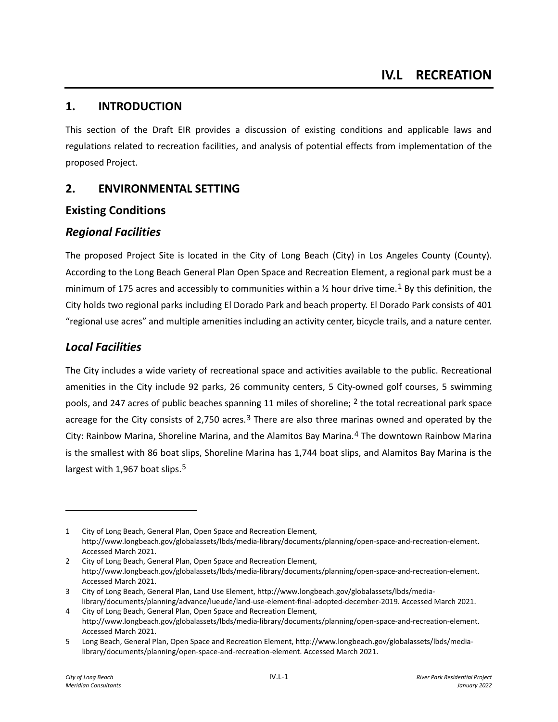## **1. INTRODUCTION**

This section of the Draft EIR provides a discussion of existing conditions and applicable laws and regulations related to recreation facilities, and analysis of potential effects from implementation of the proposed Project.

# **2. ENVIRONMENTAL SETTING**

# **Existing Conditions**

# *Regional Facilities*

The proposed Project Site is located in the City of Long Beach (City) in Los Angeles County (County). According to the Long Beach General Plan Open Space and Recreation Element, a regional park must be a minimum of [1](#page-0-0)75 acres and accessibly to communities within a  $\frac{1}{2}$  hour drive time.<sup>1</sup> By this definition, the City holds two regional parks including El Dorado Park and beach property. El Dorado Park consists of 401 "regional use acres" and multiple amenities including an activity center, bicycle trails, and a nature center.

# *Local Facilities*

The City includes a wide variety of recreational space and activities available to the public. Recreational amenities in the City include 92 parks, 26 community centers, 5 City-owned golf courses, 5 swimming pools, and [2](#page-0-1)47 acres of public beaches spanning 11 miles of shoreline; <sup>2</sup> the total recreational park space acreage for the City consists of 2,750 acres.<sup>[3](#page-0-2)</sup> There are also three marinas owned and operated by the City: Rainbow Marina, Shoreline Marina, and the Alamitos Bay Marina.[4](#page-0-3) The downtown Rainbow Marina is the smallest with 86 boat slips, Shoreline Marina has 1,744 boat slips, and Alamitos Bay Marina is the largest with 1,967 boat slips.<sup>[5](#page-0-4)</sup>

<span id="page-0-0"></span><sup>1</sup> City of Long Beach, General Plan, Open Space and Recreation Element, [http://www.longbeach.gov/globalassets/lbds/media-library/documents/planning/open-space-and-recreation-element.](http://www.longbeach.gov/globalassets/lbds/media-library/documents/planning/open-space-and-recreation-element) Accessed March 2021.

<span id="page-0-1"></span><sup>2</sup> City of Long Beach, General Plan, Open Space and Recreation Element, [http://www.longbeach.gov/globalassets/lbds/media-library/documents/planning/open-space-and-recreation-element.](http://www.longbeach.gov/globalassets/lbds/media-library/documents/planning/open-space-and-recreation-element) Accessed March 2021.

<span id="page-0-2"></span><sup>3</sup> City of Long Beach, General Plan, Land Use Element[, http://www.longbeach.gov/globalassets/lbds/media](http://www.longbeach.gov/globalassets/lbds/media-library/documents/planning/advance/lueude/land-use-element-final-adopted-december-2019)[library/documents/planning/advance/lueude/land-use-element-final-adopted-december-2019.](http://www.longbeach.gov/globalassets/lbds/media-library/documents/planning/advance/lueude/land-use-element-final-adopted-december-2019) Accessed March 2021.

<span id="page-0-3"></span><sup>4</sup> City of Long Beach, General Plan, Open Space and Recreation Element, http://www.longbeach.gov/globalassets/lbds/media-library/documents/planning/open-space-and-recreation-element. Accessed March 2021.

<span id="page-0-4"></span><sup>5</sup> Long Beach, General Plan, Open Space and Recreation Element, http://www.longbeach.gov/globalassets/lbds/medialibrary/documents/planning/open-space-and-recreation-element. Accessed March 2021.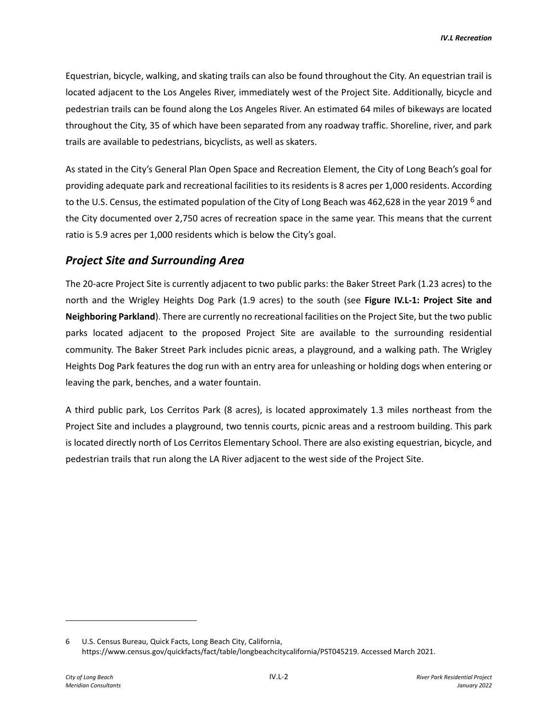Equestrian, bicycle, walking, and skating trails can also be found throughout the City. An equestrian trail is located adjacent to the Los Angeles River, immediately west of the Project Site. Additionally, bicycle and pedestrian trails can be found along the Los Angeles River. An estimated 64 miles of bikeways are located throughout the City, 35 of which have been separated from any roadway traffic. Shoreline, river, and park trails are available to pedestrians, bicyclists, as well as skaters.

As stated in the City's General Plan Open Space and Recreation Element, the City of Long Beach's goal for providing adequate park and recreational facilities to its residents is 8 acres per 1,000 residents. According to the U.S. Census, the estimated population of the City of Long Beach was 4[6](#page-1-0)2,628 in the year 2019 <sup>6</sup> and the City documented over 2,750 acres of recreation space in the same year. This means that the current ratio is 5.9 acres per 1,000 residents which is below the City's goal.

## *Project Site and Surrounding Area*

The 20-acre Project Site is currently adjacent to two public parks: the Baker Street Park (1.23 acres) to the north and the Wrigley Heights Dog Park (1.9 acres) to the south (see **Figure IV.L-1: Project Site and Neighboring Parkland**). There are currently no recreational facilities on the Project Site, but the two public parks located adjacent to the proposed Project Site are available to the surrounding residential community. The Baker Street Park includes picnic areas, a playground, and a walking path. The Wrigley Heights Dog Park features the dog run with an entry area for unleashing or holding dogs when entering or leaving the park, benches, and a water fountain.

A third public park, Los Cerritos Park (8 acres), is located approximately 1.3 miles northeast from the Project Site and includes a playground, two tennis courts, picnic areas and a restroom building. This park is located directly north of Los Cerritos Elementary School. There are also existing equestrian, bicycle, and pedestrian trails that run along the LA River adjacent to the west side of the Project Site.

<span id="page-1-0"></span><sup>6</sup> U.S. Census Bureau, Quick Facts, Long Beach City, California, [https://www.census.gov/quickfacts/fact/table/longbeachcitycalifornia/PST045219.](https://www.census.gov/quickfacts/fact/table/longbeachcitycalifornia/PST045219) Accessed March 2021.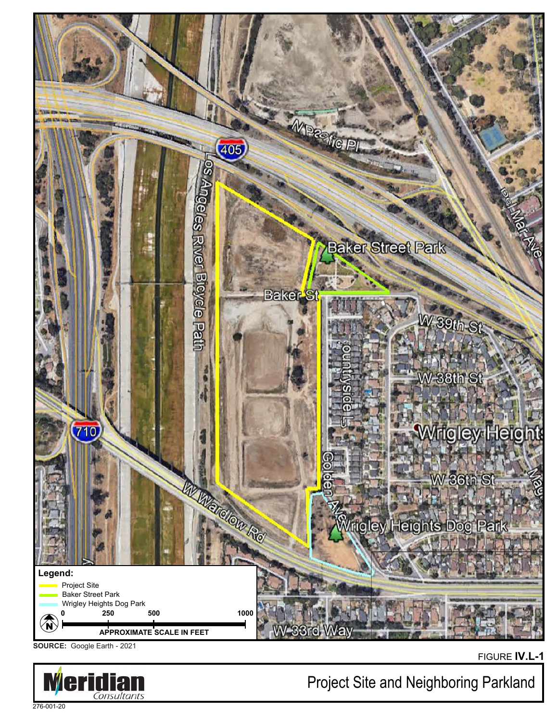

**SOURCE:** Google Earth - 2021



FIGURE **IV.L-1**

Project Site and Neighboring Parkland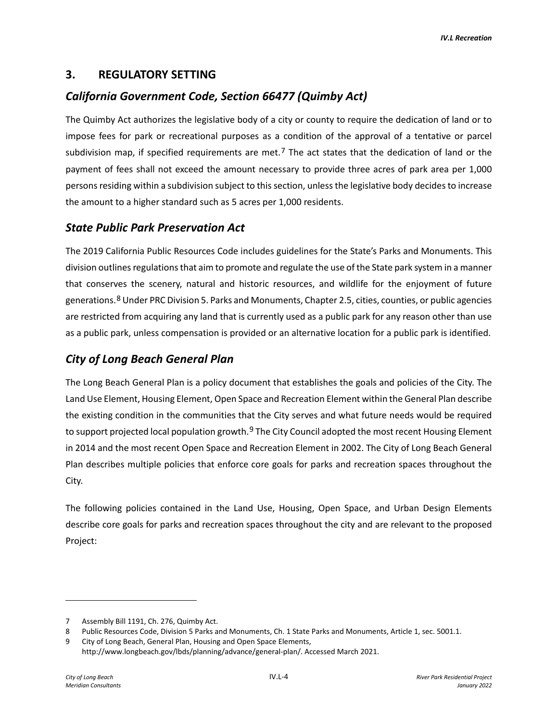## **3. REGULATORY SETTING**

# *California Government Code, Section 66477 (Quimby Act)*

The Quimby Act authorizes the legislative body of a city or county to require the dedication of land or to impose fees for park or recreational purposes as a condition of the approval of a tentative or parcel subdivision map, if specified requirements are met.<sup>[7](#page-3-0)</sup> The act states that the dedication of land or the payment of fees shall not exceed the amount necessary to provide three acres of park area per 1,000 persons residing within a subdivision subject to this section, unless the legislative body decides to increase the amount to a higher standard such as 5 acres per 1,000 residents.

## *State Public Park Preservation Act*

The 2019 California Public Resources Code includes guidelines for the State's Parks and Monuments. This division outlines regulations that aim to promote and regulate the use of the State park system in a manner that conserves the scenery, natural and historic resources, and wildlife for the enjoyment of future generations.[8](#page-3-1) Under PRC Division 5. Parks and Monuments, Chapter 2.5, cities, counties, or public agencies are restricted from acquiring any land that is currently used as a public park for any reason other than use as a public park, unless compensation is provided or an alternative location for a public park is identified.

# *City of Long Beach General Plan*

The Long Beach General Plan is a policy document that establishes the goals and policies of the City. The Land Use Element, Housing Element, Open Space and Recreation Element within the General Plan describe the existing condition in the communities that the City serves and what future needs would be required to support projected local population growth.<sup>[9](#page-3-2)</sup> The City Council adopted the most recent Housing Element in 2014 and the most recent Open Space and Recreation Element in 2002. The City of Long Beach General Plan describes multiple policies that enforce core goals for parks and recreation spaces throughout the City.

The following policies contained in the Land Use, Housing, Open Space, and Urban Design Elements describe core goals for parks and recreation spaces throughout the city and are relevant to the proposed Project:

<span id="page-3-0"></span><sup>7</sup> Assembly Bill 1191, Ch. 276, Quimby Act.

<span id="page-3-1"></span><sup>8</sup> Public Resources Code, Division 5 Parks and Monuments, Ch. 1 State Parks and Monuments, Article 1, sec. 5001.1.

<span id="page-3-2"></span><sup>9</sup> City of Long Beach, General Plan, Housing and Open Space Elements,

http://www.longbeach.gov/lbds/planning/advance/general-plan/. Accessed March 2021.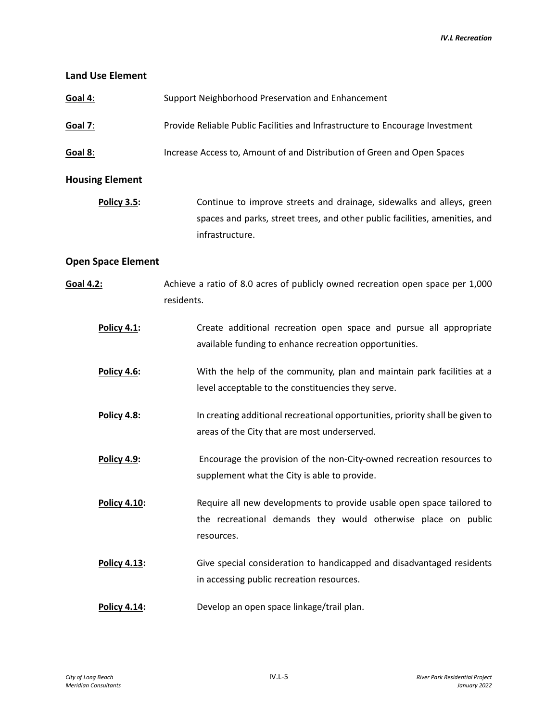*IV.L Recreation*

| <b>Land Use Element</b>   |                                                                                                                                                                         |
|---------------------------|-------------------------------------------------------------------------------------------------------------------------------------------------------------------------|
| Goal 4:                   | Support Neighborhood Preservation and Enhancement                                                                                                                       |
| <b>Goal 7:</b>            | Provide Reliable Public Facilities and Infrastructure to Encourage Investment                                                                                           |
| Goal 8:                   | Increase Access to, Amount of and Distribution of Green and Open Spaces                                                                                                 |
| <b>Housing Element</b>    |                                                                                                                                                                         |
| Policy 3.5:               | Continue to improve streets and drainage, sidewalks and alleys, green<br>spaces and parks, street trees, and other public facilities, amenities, and<br>infrastructure. |
| <b>Open Space Element</b> |                                                                                                                                                                         |
| Goal 4.2:                 | Achieve a ratio of 8.0 acres of publicly owned recreation open space per 1,000<br>residents.                                                                            |
| Policy 4.1:               | Create additional recreation open space and pursue all appropriate<br>available funding to enhance recreation opportunities.                                            |
| Policy 4.6:               | With the help of the community, plan and maintain park facilities at a<br>level acceptable to the constituencies they serve.                                            |
| Policy 4.8:               | In creating additional recreational opportunities, priority shall be given to<br>areas of the City that are most underserved.                                           |
| Policy 4.9:               | Encourage the provision of the non-City-owned recreation resources to<br>supplement what the City is able to provide.                                                   |
| Policy 4.10:              | Require all new developments to provide usable open space tailored to<br>the recreational demands they would otherwise place on public<br>resources.                    |
| Policy 4.13:              | Give special consideration to handicapped and disadvantaged residents<br>in accessing public recreation resources.                                                      |
| Policy 4.14:              | Develop an open space linkage/trail plan.                                                                                                                               |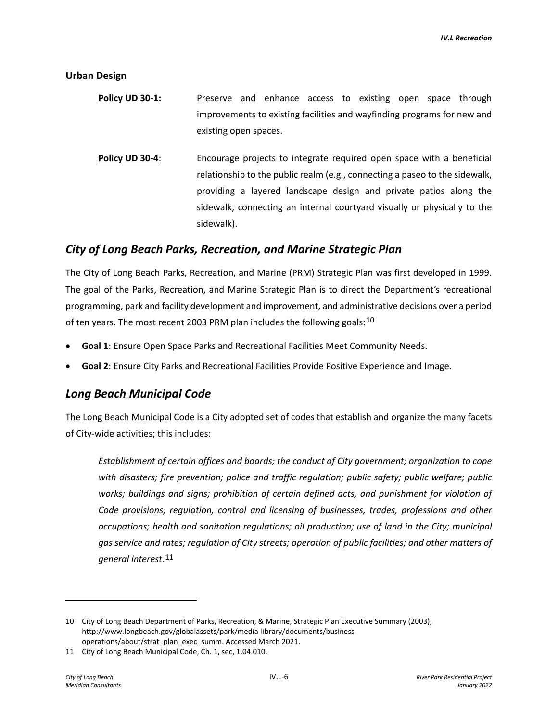**Urban Design**

- **Policy UD 30-1:** Preserve and enhance access to existing open space through improvements to existing facilities and wayfinding programs for new and existing open spaces.
- **Policy UD 30-4**: Encourage projects to integrate required open space with a beneficial relationship to the public realm (e.g., connecting a paseo to the sidewalk, providing a layered landscape design and private patios along the sidewalk, connecting an internal courtyard visually or physically to the sidewalk).

### *City of Long Beach Parks, Recreation, and Marine Strategic Plan*

The City of Long Beach Parks, Recreation, and Marine (PRM) Strategic Plan was first developed in 1999. The goal of the Parks, Recreation, and Marine Strategic Plan is to direct the Department's recreational programming, park and facility development and improvement, and administrative decisions over a period of ten years. The most recent 2003 PRM plan includes the following goals:  $10$ 

- **Goal 1**: Ensure Open Space Parks and Recreational Facilities Meet Community Needs.
- **Goal 2**: Ensure City Parks and Recreational Facilities Provide Positive Experience and Image.

### *Long Beach Municipal Code*

The Long Beach Municipal Code is a City adopted set of codes that establish and organize the many facets of City-wide activities; this includes:

*Establishment of certain offices and boards; the conduct of City government; organization to cope with disasters; fire prevention; police and traffic regulation; public safety; public welfare; public*  works; buildings and signs; prohibition of certain defined acts, and punishment for violation of *Code provisions; regulation, control and licensing of businesses, trades, professions and other occupations; health and sanitation regulations; oil production; use of land in the City; municipal gas service and rates; regulation of City streets; operation of public facilities; and other matters of general interest*.[11](#page-5-1)

<span id="page-5-0"></span><sup>10</sup> City of Long Beach Department of Parks, Recreation, & Marine, Strategic Plan Executive Summary (2003), [http://www.longbeach.gov/globalassets/park/media-library/documents/business](http://www.longbeach.gov/globalassets/park/media-library/documents/business-operations/about/strat_plan_exec_summ)[operations/about/strat\\_plan\\_exec\\_summ.](http://www.longbeach.gov/globalassets/park/media-library/documents/business-operations/about/strat_plan_exec_summ) Accessed March 2021.

<span id="page-5-1"></span><sup>11</sup> City of Long Beach Municipal Code, Ch. 1, sec, 1.04.010.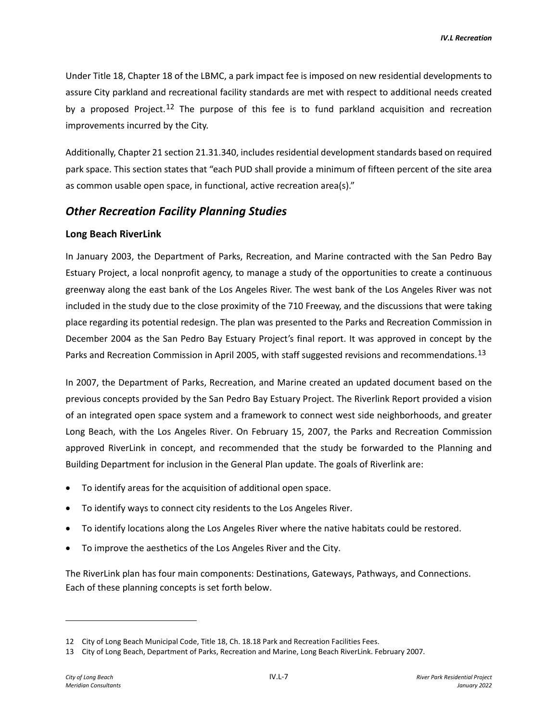Under Title 18, Chapter 18 of the LBMC, a park impact fee is imposed on new residential developments to assure City parkland and recreational facility standards are met with respect to additional needs created by a proposed Project.<sup>[12](#page-6-0)</sup> The purpose of this fee is to fund parkland acquisition and recreation improvements incurred by the City.

Additionally, Chapter 21 section 21.31.340, includes residential development standards based on required park space. This section states that "each PUD shall provide a minimum of fifteen percent of the site area as common usable open space, in functional, active recreation area(s)."

### *Other Recreation Facility Planning Studies*

### **Long Beach RiverLink**

In January 2003, the Department of Parks, Recreation, and Marine contracted with the San Pedro Bay Estuary Project, a local nonprofit agency, to manage a study of the opportunities to create a continuous greenway along the east bank of the Los Angeles River. The west bank of the Los Angeles River was not included in the study due to the close proximity of the 710 Freeway, and the discussions that were taking place regarding its potential redesign. The plan was presented to the Parks and Recreation Commission in December 2004 as the San Pedro Bay Estuary Project's final report. It was approved in concept by the Parks and Recreation Commission in April 2005, with staff suggested revisions and recommendations.<sup>[13](#page-6-1)</sup>

In 2007, the Department of Parks, Recreation, and Marine created an updated document based on the previous concepts provided by the San Pedro Bay Estuary Project. The Riverlink Report provided a vision of an integrated open space system and a framework to connect west side neighborhoods, and greater Long Beach, with the Los Angeles River. On February 15, 2007, the Parks and Recreation Commission approved RiverLink in concept, and recommended that the study be forwarded to the Planning and Building Department for inclusion in the General Plan update. The goals of Riverlink are:

- To identify areas for the acquisition of additional open space.
- To identify ways to connect city residents to the Los Angeles River.
- To identify locations along the Los Angeles River where the native habitats could be restored.
- To improve the aesthetics of the Los Angeles River and the City.

The RiverLink plan has four main components: Destinations, Gateways, Pathways, and Connections. Each of these planning concepts is set forth below.

<span id="page-6-0"></span><sup>12</sup> City of Long Beach Municipal Code, Title 18, Ch. 18.18 Park and Recreation Facilities Fees.

<span id="page-6-1"></span><sup>13</sup> City of Long Beach, Department of Parks, Recreation and Marine, Long Beach RiverLink. February 2007.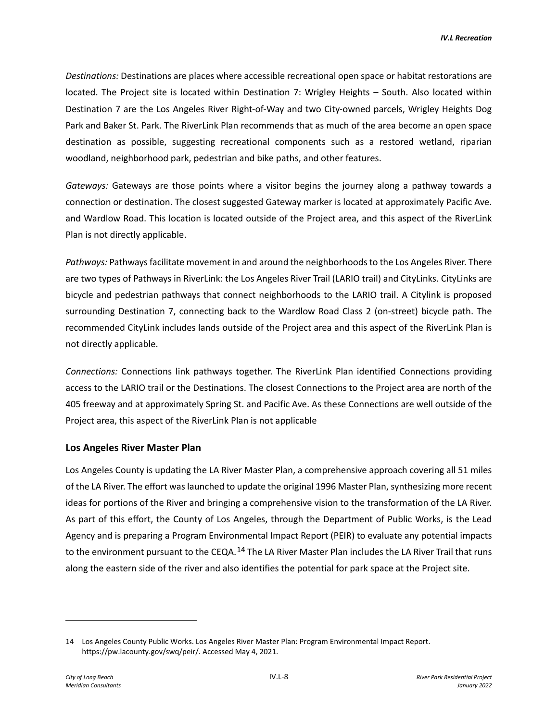*Destinations:* Destinations are places where accessible recreational open space or habitat restorations are located. The Project site is located within Destination 7: Wrigley Heights – South. Also located within Destination 7 are the Los Angeles River Right-of-Way and two City-owned parcels, Wrigley Heights Dog Park and Baker St. Park. The RiverLink Plan recommends that as much of the area become an open space destination as possible, suggesting recreational components such as a restored wetland, riparian woodland, neighborhood park, pedestrian and bike paths, and other features.

*Gateways:* Gateways are those points where a visitor begins the journey along a pathway towards a connection or destination. The closest suggested Gateway marker is located at approximately Pacific Ave. and Wardlow Road. This location is located outside of the Project area, and this aspect of the RiverLink Plan is not directly applicable.

*Pathways:* Pathways facilitate movement in and around the neighborhoods to the Los Angeles River. There are two types of Pathways in RiverLink: the Los Angeles River Trail (LARIO trail) and CityLinks. CityLinks are bicycle and pedestrian pathways that connect neighborhoods to the LARIO trail. A Citylink is proposed surrounding Destination 7, connecting back to the Wardlow Road Class 2 (on-street) bicycle path. The recommended CityLink includes lands outside of the Project area and this aspect of the RiverLink Plan is not directly applicable.

*Connections:* Connections link pathways together. The RiverLink Plan identified Connections providing access to the LARIO trail or the Destinations. The closest Connections to the Project area are north of the 405 freeway and at approximately Spring St. and Pacific Ave. As these Connections are well outside of the Project area, this aspect of the RiverLink Plan is not applicable

### **Los Angeles River Master Plan**

Los Angeles County is updating the LA River Master Plan, a comprehensive approach covering all 51 miles of the LA River. The effort was launched to update the original 1996 Master Plan, synthesizing more recent ideas for portions of the River and bringing a comprehensive vision to the transformation of the LA River. As part of this effort, the County of Los Angeles, through the Department of Public Works, is the Lead Agency and is preparing a Program Environmental Impact Report (PEIR) to evaluate any potential impacts to the environment pursuant to the CEQA.<sup>[14](#page-7-0)</sup> The LA River Master Plan includes the LA River Trail that runs along the eastern side of the river and also identifies the potential for park space at the Project site.

<span id="page-7-0"></span><sup>14</sup> Los Angeles County Public Works. Los Angeles River Master Plan: Program Environmental Impact Report. [https://pw.lacounty.gov/swq/peir/.](https://pw.lacounty.gov/swq/peir/) Accessed May 4, 2021.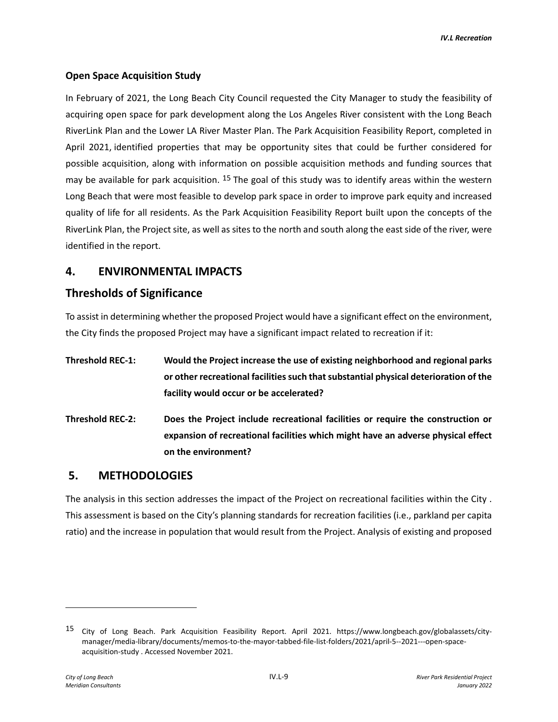### **Open Space Acquisition Study**

In February of 2021, the Long Beach City Council requested the City Manager to study the feasibility of acquiring open space for park development along the Los Angeles River consistent with the Long Beach RiverLink Plan and the Lower LA River Master Plan. The Park Acquisition Feasibility Report, completed in April 2021, identified properties that may be opportunity sites that could be further considered for possible acquisition, along with information on possible acquisition methods and funding sources that may be available for park acquisition.  $^{15}$  $^{15}$  $^{15}$  The goal of this study was to identify areas within the western Long Beach that were most feasible to develop park space in order to improve park equity and increased quality of life for all residents. As the Park Acquisition Feasibility Report built upon the concepts of the RiverLink Plan, the Project site, as well as sites to the north and south along the east side of the river, were identified in the report.

## **4. ENVIRONMENTAL IMPACTS**

### **Thresholds of Significance**

To assist in determining whether the proposed Project would have a significant effect on the environment, the City finds the proposed Project may have a significant impact related to recreation if it:

- **Threshold REC-1: Would the Project increase the use of existing neighborhood and regional parks or other recreational facilities such that substantial physical deterioration of the facility would occur or be accelerated?**
- **Threshold REC-2: Does the Project include recreational facilities or require the construction or expansion of recreational facilities which might have an adverse physical effect on the environment?**

### **5. METHODOLOGIES**

The analysis in this section addresses the impact of the Project on recreational facilities within the City . This assessment is based on the City's planning standards for recreation facilities (i.e., parkland per capita ratio) and the increase in population that would result from the Project. Analysis of existing and proposed

<span id="page-8-0"></span><sup>15</sup> City of Long Beach. Park Acquisition Feasibility Report. April 2021. https://www.longbeach.gov/globalassets/citymanager/media-library/documents/memos-to-the-mayor-tabbed-file-list-folders/2021/april-5--2021---open-spaceacquisition-study . Accessed November 2021.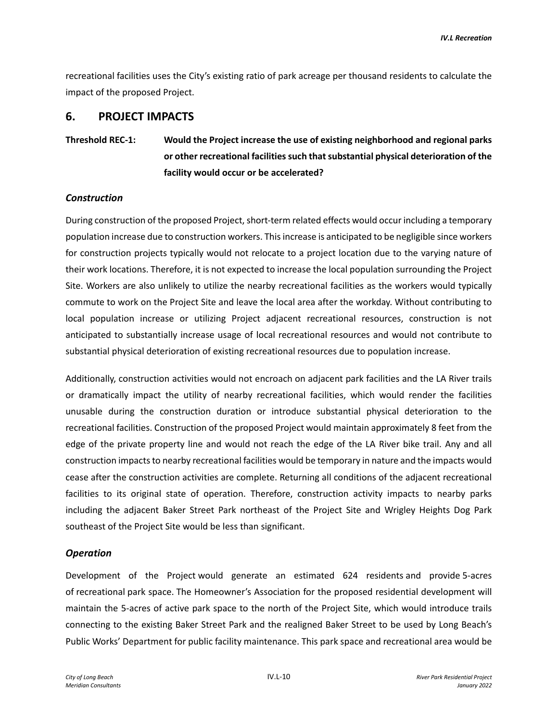recreational facilities uses the City's existing ratio of park acreage per thousand residents to calculate the impact of the proposed Project.

## **6. PROJECT IMPACTS**

**Threshold REC-1: Would the Project increase the use of existing neighborhood and regional parks or other recreational facilities such that substantial physical deterioration of the facility would occur or be accelerated?**

### *Construction*

During construction of the proposed Project, short-term related effects would occur including a temporary population increase due to construction workers. This increase is anticipated to be negligible since workers for construction projects typically would not relocate to a project location due to the varying nature of their work locations. Therefore, it is not expected to increase the local population surrounding the Project Site. Workers are also unlikely to utilize the nearby recreational facilities as the workers would typically commute to work on the Project Site and leave the local area after the workday. Without contributing to local population increase or utilizing Project adjacent recreational resources, construction is not anticipated to substantially increase usage of local recreational resources and would not contribute to substantial physical deterioration of existing recreational resources due to population increase.

Additionally, construction activities would not encroach on adjacent park facilities and the LA River trails or dramatically impact the utility of nearby recreational facilities, which would render the facilities unusable during the construction duration or introduce substantial physical deterioration to the recreational facilities. Construction of the proposed Project would maintain approximately 8 feet from the edge of the private property line and would not reach the edge of the LA River bike trail. Any and all construction impacts to nearby recreational facilities would be temporary in nature and the impacts would cease after the construction activities are complete. Returning all conditions of the adjacent recreational facilities to its original state of operation. Therefore, construction activity impacts to nearby parks including the adjacent Baker Street Park northeast of the Project Site and Wrigley Heights Dog Park southeast of the Project Site would be less than significant.

### *Operation*

Development of the Project would generate an estimated 624 residents and provide 5-acres of recreational park space. The Homeowner's Association for the proposed residential development will maintain the 5-acres of active park space to the north of the Project Site, which would introduce trails connecting to the existing Baker Street Park and the realigned Baker Street to be used by Long Beach's Public Works' Department for public facility maintenance. This park space and recreational area would be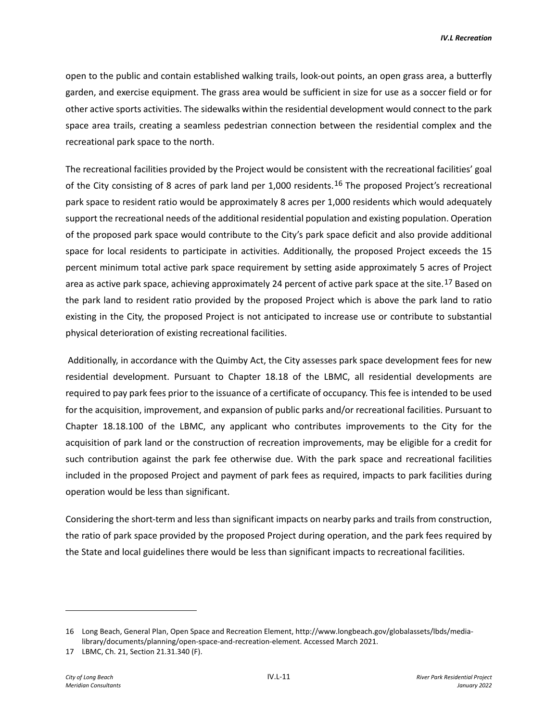open to the public and contain established walking trails, look-out points, an open grass area, a butterfly garden, and exercise equipment. The grass area would be sufficient in size for use as a soccer field or for other active sports activities. The sidewalks within the residential development would connect to the park space area trails, creating a seamless pedestrian connection between the residential complex and the recreational park space to the north.

The recreational facilities provided by the Project would be consistent with the recreational facilities' goal of the City consisting of 8 acres of park land per 1,000 residents.<sup>[16](#page-10-0)</sup> The proposed Project's recreational park space to resident ratio would be approximately 8 acres per 1,000 residents which would adequately support the recreational needs of the additional residential population and existing population. Operation of the proposed park space would contribute to the City's park space deficit and also provide additional space for local residents to participate in activities. Additionally, the proposed Project exceeds the 15 percent minimum total active park space requirement by setting aside approximately 5 acres of Project area as active park space, achieving approximately 24 percent of active park space at the site.<sup>[17](#page-10-1)</sup> Based on the park land to resident ratio provided by the proposed Project which is above the park land to ratio existing in the City, the proposed Project is not anticipated to increase use or contribute to substantial physical deterioration of existing recreational facilities.

Additionally, in accordance with the Quimby Act, the City assesses park space development fees for new residential development. Pursuant to Chapter 18.18 of the LBMC, all residential developments are required to pay park fees prior to the issuance of a certificate of occupancy. This fee is intended to be used for the acquisition, improvement, and expansion of public parks and/or recreational facilities. Pursuant to Chapter 18.18.100 of the LBMC, any applicant who contributes improvements to the City for the acquisition of park land or the construction of recreation improvements, may be eligible for a credit for such contribution against the park fee otherwise due. With the park space and recreational facilities included in the proposed Project and payment of park fees as required, impacts to park facilities during operation would be less than significant.

Considering the short-term and less than significant impacts on nearby parks and trails from construction, the ratio of park space provided by the proposed Project during operation, and the park fees required by the State and local guidelines there would be less than significant impacts to recreational facilities.

<span id="page-10-0"></span><sup>16</sup> Long Beach, General Plan, Open Space and Recreation Element, http://www.longbeach.gov/globalassets/lbds/medialibrary/documents/planning/open-space-and-recreation-element. Accessed March 2021.

<span id="page-10-1"></span><sup>17</sup> LBMC, Ch. 21, Section 21.31.340 (F).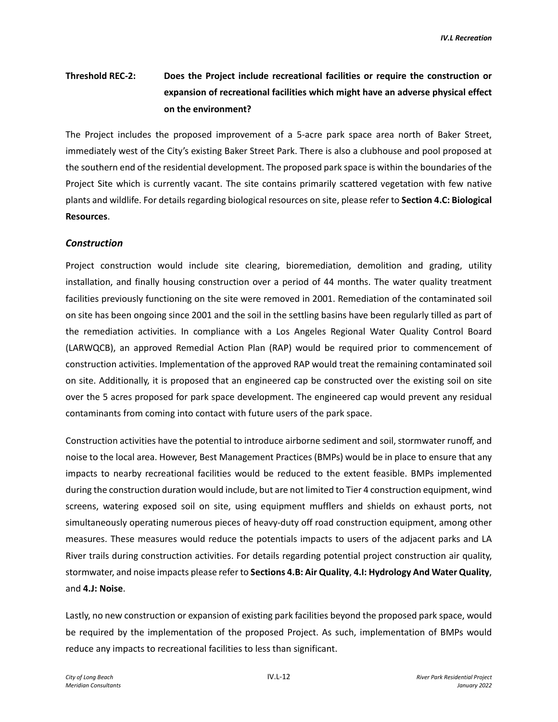# **Threshold REC-2: Does the Project include recreational facilities or require the construction or expansion of recreational facilities which might have an adverse physical effect on the environment?**

The Project includes the proposed improvement of a 5-acre park space area north of Baker Street, immediately west of the City's existing Baker Street Park. There is also a clubhouse and pool proposed at the southern end of the residential development. The proposed park space is within the boundaries of the Project Site which is currently vacant. The site contains primarily scattered vegetation with few native plants and wildlife. For details regarding biological resources on site, please refer to **Section 4.C: Biological Resources**.

#### *Construction*

Project construction would include site clearing, bioremediation, demolition and grading, utility installation, and finally housing construction over a period of 44 months. The water quality treatment facilities previously functioning on the site were removed in 2001. Remediation of the contaminated soil on site has been ongoing since 2001 and the soil in the settling basins have been regularly tilled as part of the remediation activities. In compliance with a Los Angeles Regional Water Quality Control Board (LARWQCB), an approved Remedial Action Plan (RAP) would be required prior to commencement of construction activities. Implementation of the approved RAP would treat the remaining contaminated soil on site. Additionally, it is proposed that an engineered cap be constructed over the existing soil on site over the 5 acres proposed for park space development. The engineered cap would prevent any residual contaminants from coming into contact with future users of the park space.

Construction activities have the potential to introduce airborne sediment and soil, stormwater runoff, and noise to the local area. However, Best Management Practices (BMPs) would be in place to ensure that any impacts to nearby recreational facilities would be reduced to the extent feasible. BMPs implemented during the construction duration would include, but are not limited to Tier 4 construction equipment, wind screens, watering exposed soil on site, using equipment mufflers and shields on exhaust ports, not simultaneously operating numerous pieces of heavy-duty off road construction equipment, among other measures. These measures would reduce the potentials impacts to users of the adjacent parks and LA River trails during construction activities. For details regarding potential project construction air quality, stormwater, and noise impacts please refer to **Sections 4.B: Air Quality**, **4.I: Hydrology And Water Quality**, and **4.J: Noise**.

Lastly, no new construction or expansion of existing park facilities beyond the proposed park space, would be required by the implementation of the proposed Project. As such, implementation of BMPs would reduce any impacts to recreational facilities to less than significant.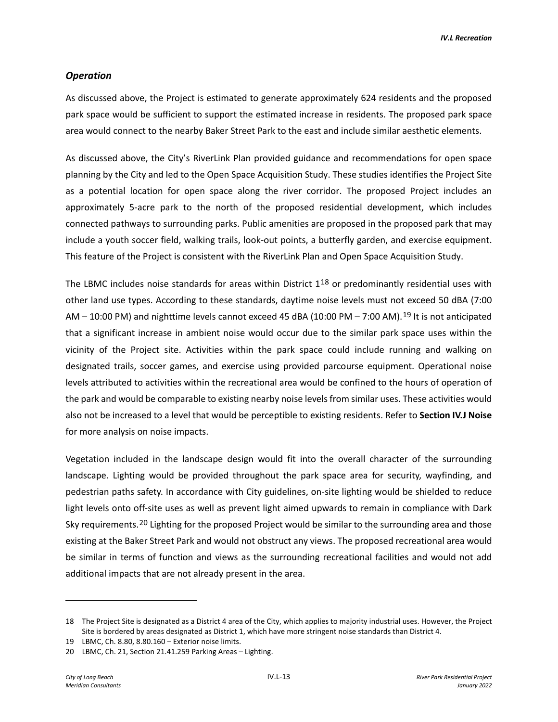*IV.L Recreation*

#### *Operation*

As discussed above, the Project is estimated to generate approximately 624 residents and the proposed park space would be sufficient to support the estimated increase in residents. The proposed park space area would connect to the nearby Baker Street Park to the east and include similar aesthetic elements.

As discussed above, the City's RiverLink Plan provided guidance and recommendations for open space planning by the City and led to the Open Space Acquisition Study. These studies identifies the Project Site as a potential location for open space along the river corridor. The proposed Project includes an approximately 5-acre park to the north of the proposed residential development, which includes connected pathways to surrounding parks. Public amenities are proposed in the proposed park that may include a youth soccer field, walking trails, look-out points, a butterfly garden, and exercise equipment. This feature of the Project is consistent with the RiverLink Plan and Open Space Acquisition Study.

The LBMC includes noise standards for areas within District  $1^{18}$  $1^{18}$  $1^{18}$  or predominantly residential uses with other land use types. According to these standards, daytime noise levels must not exceed 50 dBA (7:00  $AM - 10:00$  PM) and nighttime levels cannot exceed 45 dBA (10:00 PM – 7:00 AM).<sup>[19](#page-12-1)</sup> It is not anticipated that a significant increase in ambient noise would occur due to the similar park space uses within the vicinity of the Project site. Activities within the park space could include running and walking on designated trails, soccer games, and exercise using provided parcourse equipment. Operational noise levels attributed to activities within the recreational area would be confined to the hours of operation of the park and would be comparable to existing nearby noise levels from similar uses. These activities would also not be increased to a level that would be perceptible to existing residents. Refer to **Section IV.J Noise** for more analysis on noise impacts.

Vegetation included in the landscape design would fit into the overall character of the surrounding landscape. Lighting would be provided throughout the park space area for security, wayfinding, and pedestrian paths safety. In accordance with City guidelines, on-site lighting would be shielded to reduce light levels onto off-site uses as well as prevent light aimed upwards to remain in compliance with Dark Sky requirements.<sup>[20](#page-12-2)</sup> Lighting for the proposed Project would be similar to the surrounding area and those existing at the Baker Street Park and would not obstruct any views. The proposed recreational area would be similar in terms of function and views as the surrounding recreational facilities and would not add additional impacts that are not already present in the area.

<span id="page-12-0"></span><sup>18</sup> The Project Site is designated as a District 4 area of the City, which applies to majority industrial uses. However, the Project Site is bordered by areas designated as District 1, which have more stringent noise standards than District 4.

<span id="page-12-1"></span><sup>19</sup> LBMC, Ch. 8.80, 8.80.160 – Exterior noise limits.

<span id="page-12-2"></span><sup>20</sup> LBMC, Ch. 21, Section 21.41.259 Parking Areas – Lighting.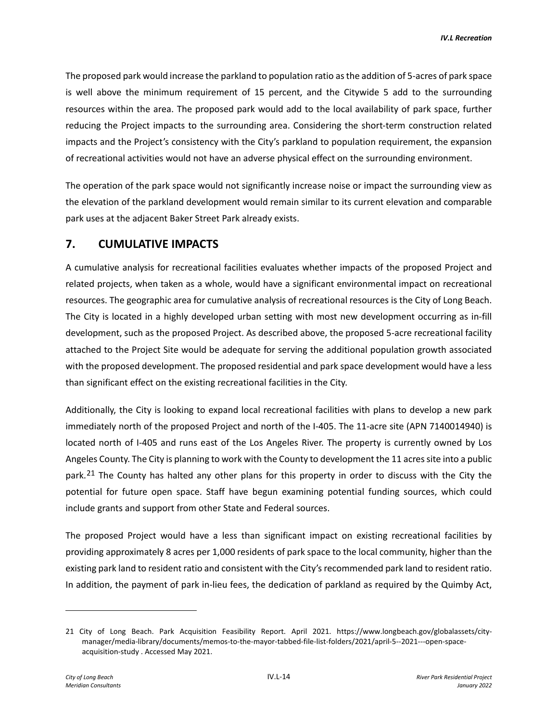The proposed park would increase the parkland to population ratio as the addition of 5-acres of park space is well above the minimum requirement of 15 percent, and the Citywide 5 add to the surrounding resources within the area. The proposed park would add to the local availability of park space, further reducing the Project impacts to the surrounding area. Considering the short-term construction related impacts and the Project's consistency with the City's parkland to population requirement, the expansion of recreational activities would not have an adverse physical effect on the surrounding environment.

The operation of the park space would not significantly increase noise or impact the surrounding view as the elevation of the parkland development would remain similar to its current elevation and comparable park uses at the adjacent Baker Street Park already exists.

## **7. CUMULATIVE IMPACTS**

A cumulative analysis for recreational facilities evaluates whether impacts of the proposed Project and related projects, when taken as a whole, would have a significant environmental impact on recreational resources. The geographic area for cumulative analysis of recreational resources is the City of Long Beach. The City is located in a highly developed urban setting with most new development occurring as in-fill development, such as the proposed Project. As described above, the proposed 5-acre recreational facility attached to the Project Site would be adequate for serving the additional population growth associated with the proposed development. The proposed residential and park space development would have a less than significant effect on the existing recreational facilities in the City.

Additionally, the City is looking to expand local recreational facilities with plans to develop a new park immediately north of the proposed Project and north of the I-405. The 11-acre site (APN 7140014940) is located north of I-405 and runs east of the Los Angeles River. The property is currently owned by Los Angeles County. The City is planning to work with the County to development the 11 acres site into a public park.<sup>[21](#page-13-0)</sup> The County has halted any other plans for this property in order to discuss with the City the potential for future open space. Staff have begun examining potential funding sources, which could include grants and support from other State and Federal sources.

The proposed Project would have a less than significant impact on existing recreational facilities by providing approximately 8 acres per 1,000 residents of park space to the local community, higher than the existing park land to resident ratio and consistent with the City's recommended park land to resident ratio. In addition, the payment of park in-lieu fees, the dedication of parkland as required by the Quimby Act,

<span id="page-13-0"></span><sup>21</sup> City of Long Beach. Park Acquisition Feasibility Report. April 2021. [https://www.longbeach.gov/globalassets/city](https://www.longbeach.gov/globalassets/city-manager/media-library/documents/memos-to-the-mayor-tabbed-file-list-folders/2021/april-5--2021---open-space-acquisition-study)[manager/media-library/documents/memos-to-the-mayor-tabbed-file-list-folders/2021/april-5--2021---open-space](https://www.longbeach.gov/globalassets/city-manager/media-library/documents/memos-to-the-mayor-tabbed-file-list-folders/2021/april-5--2021---open-space-acquisition-study)[acquisition-study](https://www.longbeach.gov/globalassets/city-manager/media-library/documents/memos-to-the-mayor-tabbed-file-list-folders/2021/april-5--2021---open-space-acquisition-study) . Accessed May 2021.